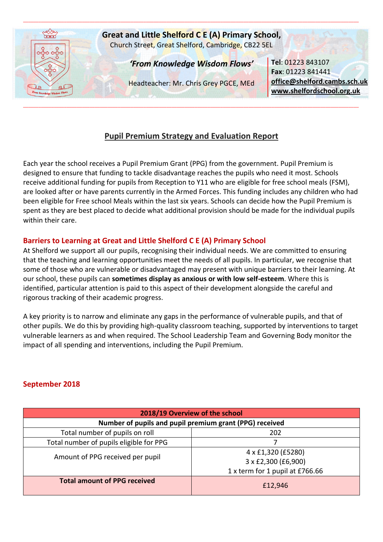

## **Pupil Premium Strategy and Evaluation Report**

Each year the school receives a Pupil Premium Grant (PPG) from the government. Pupil Premium is designed to ensure that funding to tackle disadvantage reaches the pupils who need it most. Schools receive additional funding for pupils from Reception to Y11 who are eligible for free school meals (FSM), are looked after or have parents currently in the Armed Forces. This funding includes any children who had been eligible for Free school Meals within the last six years. Schools can decide how the Pupil Premium is spent as they are best placed to decide what additional provision should be made for the individual pupils within their care.

## **Barriers to Learning at Great and Little Shelford C E (A) Primary School**

At Shelford we support all our pupils, recognising their individual needs. We are committed to ensuring that the teaching and learning opportunities meet the needs of all pupils. In particular, we recognise that some of those who are vulnerable or disadvantaged may present with unique barriers to their learning. At our school, these pupils can **sometimes display as anxious or with low self-esteem**. Where this is identified, particular attention is paid to this aspect of their development alongside the careful and rigorous tracking of their academic progress.

A key priority is to narrow and eliminate any gaps in the performance of vulnerable pupils, and that of other pupils. We do this by providing high-quality classroom teaching, supported by interventions to target vulnerable learners as and when required. The School Leadership Team and Governing Body monitor the impact of all spending and interventions, including the Pupil Premium.

## **September 2018**

| 2018/19 Overview of the school                          |                                           |  |  |
|---------------------------------------------------------|-------------------------------------------|--|--|
| Number of pupils and pupil premium grant (PPG) received |                                           |  |  |
| Total number of pupils on roll                          | 202                                       |  |  |
| Total number of pupils eligible for PPG                 |                                           |  |  |
| Amount of PPG received per pupil                        | 4 x £1,320 (£5280)<br>3 x £2,300 (£6,900) |  |  |
|                                                         | 1 x term for 1 pupil at £766.66           |  |  |
| <b>Total amount of PPG received</b>                     | £12,946                                   |  |  |